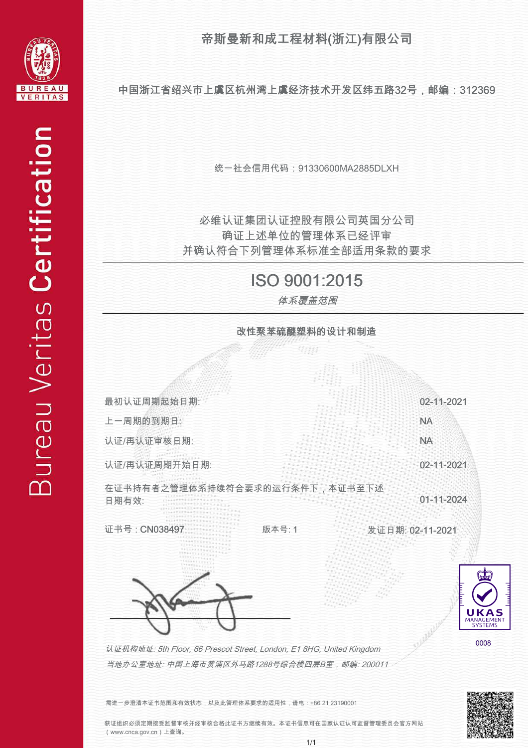帝斯曼新和成工程材料(浙江)有限公司



中国浙江省绍兴市上虞区杭州湾上虞经济技术开发区纬五路32号,邮编:312369

统一社会信用代码:91330600MA2885DLXH

并确认符合下列管理体系标准全部适用条款的要求 确证上述单位的管理体系已经评审 必维认证集团认证控股有限公司英国分公司

## ISO 9001:2015

体系覆盖范围



需进一步澄清本证书范围和有效状态,以及此管理体系要求的适用性,请电:+86 21 23190001

获证组织必须定期接受监督审核并经审核合格此证书方继续有效。本证书信息可在国家认证认可监督管理委员会官方网站 (www.cnca.gov.cn)上查询。

j j j j